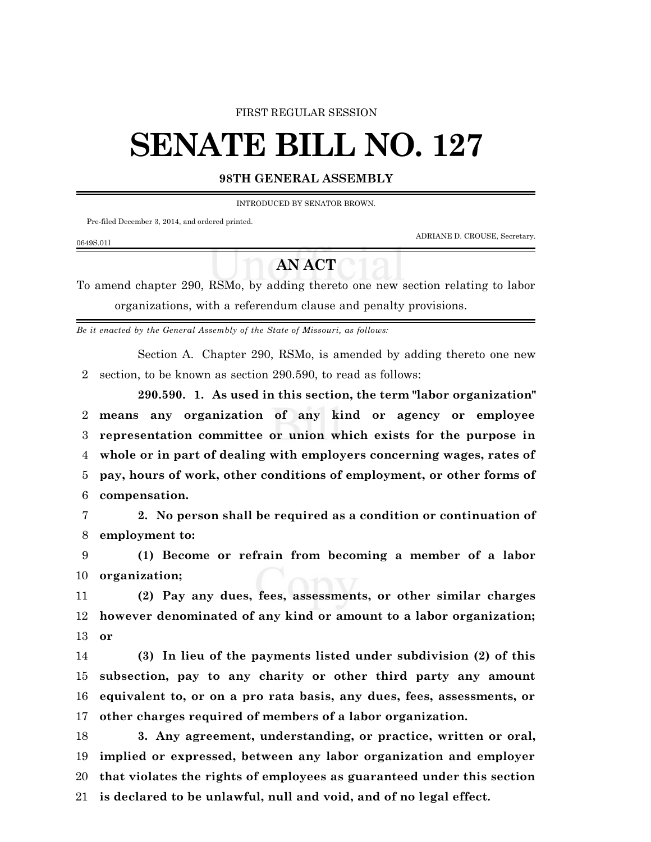### FIRST REGULAR SESSION

# **SENATE BILL NO. 127**

## **98TH GENERAL ASSEMBLY**

INTRODUCED BY SENATOR BROWN.

Pre-filed December 3, 2014, and ordered printed.

ADRIANE D. CROUSE, Secretary.

#### 0649S.01I

# **AN ACT**

To amend chapter 290, RSMo, by adding thereto one new section relating to labor organizations, with a referendum clause and penalty provisions.

*Be it enacted by the General Assembly of the State of Missouri, as follows:*

Section A. Chapter 290, RSMo, is amended by adding thereto one new section, to be known as section 290.590, to read as follows:

**290.590. 1. As used in this section, the term "labor organization" means any organization of any kind or agency or employee representation committee or union which exists for the purpose in whole or in part of dealing with employers concerning wages, rates of pay, hours of work, other conditions of employment, or other forms of compensation.**

 **2. No person shall be required as a condition or continuation of employment to:**

 **(1) Become or refrain from becoming a member of a labor organization;**

 **(2) Pay any dues, fees, assessments, or other similar charges however denominated of any kind or amount to a labor organization; or**

 **(3) In lieu of the payments listed under subdivision (2) of this subsection, pay to any charity or other third party any amount equivalent to, or on a pro rata basis, any dues, fees, assessments, or other charges required of members of a labor organization.**

 **3. Any agreement, understanding, or practice, written or oral, implied or expressed, between any labor organization and employer that violates the rights of employees as guaranteed under this section is declared to be unlawful, null and void, and of no legal effect.**